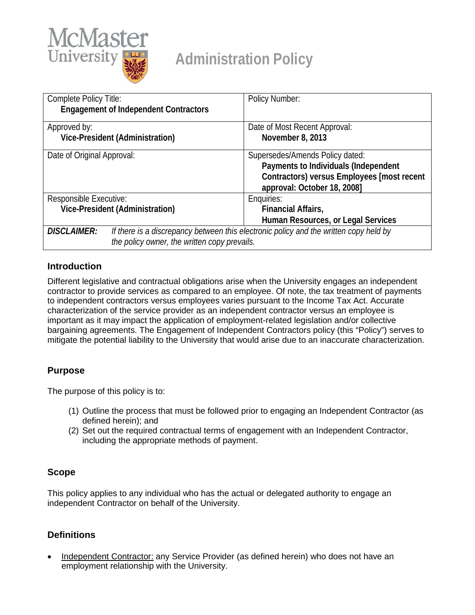

# **Administration Policy**

| Complete Policy Title:                                                                                      | Policy Number:                             |
|-------------------------------------------------------------------------------------------------------------|--------------------------------------------|
| <b>Engagement of Independent Contractors</b>                                                                |                                            |
| Approved by:                                                                                                | Date of Most Recent Approval:              |
| Vice-President (Administration)                                                                             | November 8, 2013                           |
| Date of Original Approval:                                                                                  | Supersedes/Amends Policy dated:            |
|                                                                                                             | Payments to Individuals (Independent       |
|                                                                                                             | Contractors) versus Employees [most recent |
|                                                                                                             | approval: October 18, 2008]                |
| Responsible Executive:                                                                                      | Enquiries:                                 |
| Vice-President (Administration)                                                                             | Financial Affairs,                         |
|                                                                                                             | Human Resources, or Legal Services         |
| If there is a discrepancy between this electronic policy and the written copy held by<br><b>DISCLAIMER:</b> |                                            |
| the policy owner, the written copy prevails.                                                                |                                            |

### **Introduction**

Different legislative and contractual obligations arise when the University engages an independent contractor to provide services as compared to an employee. Of note, the tax treatment of payments to independent contractors versus employees varies pursuant to the Income Tax Act. Accurate characterization of the service provider as an independent contractor versus an employee is important as it may impact the application of employment-related legislation and/or collective bargaining agreements. The Engagement of Independent Contractors policy (this "Policy") serves to mitigate the potential liability to the University that would arise due to an inaccurate characterization.

## **Purpose**

The purpose of this policy is to:

- (1) Outline the process that must be followed prior to engaging an Independent Contractor (as defined herein); and
- (2) Set out the required contractual terms of engagement with an Independent Contractor, including the appropriate methods of payment.

## **Scope**

This policy applies to any individual who has the actual or delegated authority to engage an independent Contractor on behalf of the University.

## **Definitions**

• Independent Contractor: any Service Provider (as defined herein) who does not have an employment relationship with the University.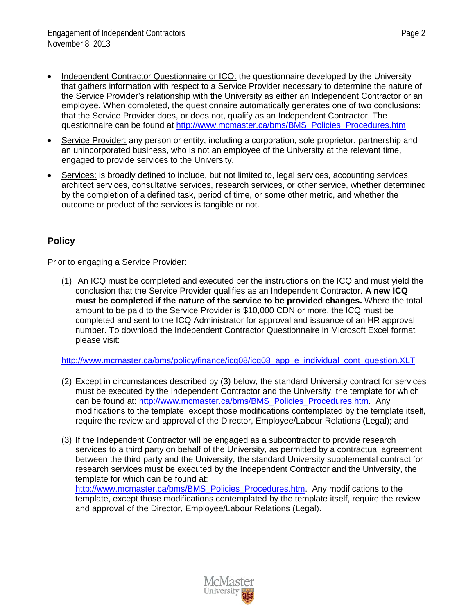- Independent Contractor Questionnaire or ICQ: the questionnaire developed by the University that gathers information with respect to a Service Provider necessary to determine the nature of the Service Provider's relationship with the University as either an Independent Contractor or an employee. When completed, the questionnaire automatically generates one of two conclusions: that the Service Provider does, or does not, qualify as an Independent Contractor. The questionnaire can be found at [http://www.mcmaster.ca/bms/BMS\\_Policies\\_Procedures.htm](http://www.mcmaster.ca/bms/BMS_Policies_Procedures.htm)
- Service Provider: any person or entity, including a corporation, sole proprietor, partnership and an unincorporated business, who is not an employee of the University at the relevant time, engaged to provide services to the University.
- Services: is broadly defined to include, but not limited to, legal services, accounting services, architect services, consultative services, research services, or other service, whether determined by the completion of a defined task, period of time, or some other metric, and whether the outcome or product of the services is tangible or not.

## **Policy**

Prior to engaging a Service Provider:

(1) An ICQ must be completed and executed per the instructions on the ICQ and must yield the conclusion that the Service Provider qualifies as an Independent Contractor. **A new ICQ must be completed if the nature of the service to be provided changes.** Where the total amount to be paid to the Service Provider is \$10,000 CDN or more, the ICQ must be completed and sent to the ICQ Administrator for approval and issuance of an HR approval number. To download the Independent Contractor Questionnaire in Microsoft Excel format please visit:

[http://www.mcmaster.ca/bms/policy/finance/icq08/icq08\\_app\\_e\\_individual\\_cont\\_question.XLT](http://www.mcmaster.ca/bms/policy/finance/icq08/icq08_app_e_individual_cont_question.XLT)

- (2) Except in circumstances described by (3) below, the standard University contract for services must be executed by the Independent Contractor and the University, the template for which can be found at: [http://www.mcmaster.ca/bms/BMS\\_Policies\\_Procedures.htm.](http://www.mcmaster.ca/bms/BMS_Policies_Procedures.htm) Any modifications to the template, except those modifications contemplated by the template itself, require the review and approval of the Director, Employee/Labour Relations (Legal); and
- (3) If the Independent Contractor will be engaged as a subcontractor to provide research services to a third party on behalf of the University, as permitted by a contractual agreement between the third party and the University, the standard University supplemental contract for research services must be executed by the Independent Contractor and the University, the template for which can be found at:

[http://www.mcmaster.ca/bms/BMS\\_Policies\\_Procedures.htm.](http://www.mcmaster.ca/bms/BMS_Policies_Procedures.htm) Any modifications to the template, except those modifications contemplated by the template itself, require the review and approval of the Director, Employee/Labour Relations (Legal).

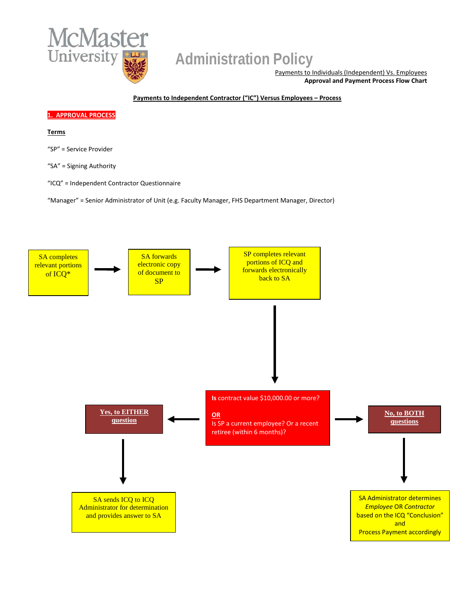

## **Administration Policy**

Payments to Individuals (Independent) Vs. Employees **Approval and Payment Process Flow Chart**

**Payments to Independent Contractor ("IC") Versus Employees – Process** 

#### **1. APPROVAL PROCESS**

#### **Terms**

"SP" = Service Provider

"SA" = Signing Authority

"ICQ" = Independent Contractor Questionnaire

"Manager" = Senior Administrator of Unit (e.g. Faculty Manager, FHS Department Manager, Director)

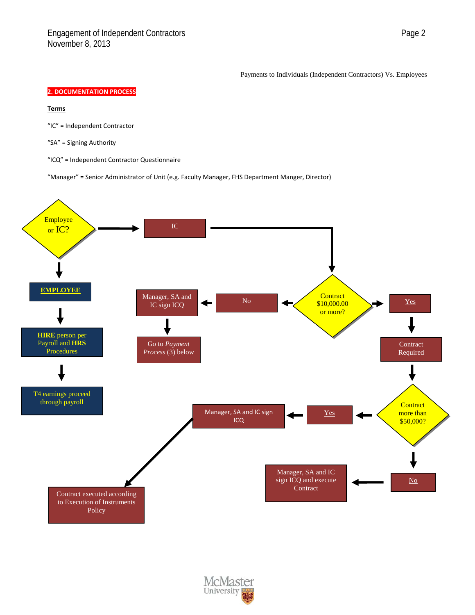Payments to Individuals (Independent Contractors) Vs. Employees

#### **2. DOCUMENTATION PROCESS**

#### **Terms**

- "IC" = Independent Contractor
- "SA" = Signing Authority
- "ICQ" = Independent Contractor Questionnaire

"Manager" = Senior Administrator of Unit (e.g. Faculty Manager, FHS Department Manger, Director)



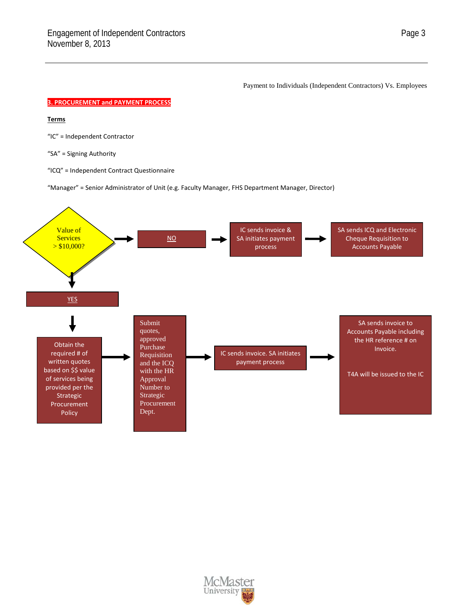Payment to Individuals (Independent Contractors) Vs. Employees

#### **3. PROCUREMENT and PAYMENT PROCESS**

#### **Terms**

"IC" = Independent Contractor

"SA" = Signing Authority

"ICQ" = Independent Contract Questionnaire

"Manager" = Senior Administrator of Unit (e.g. Faculty Manager, FHS Department Manager, Director)